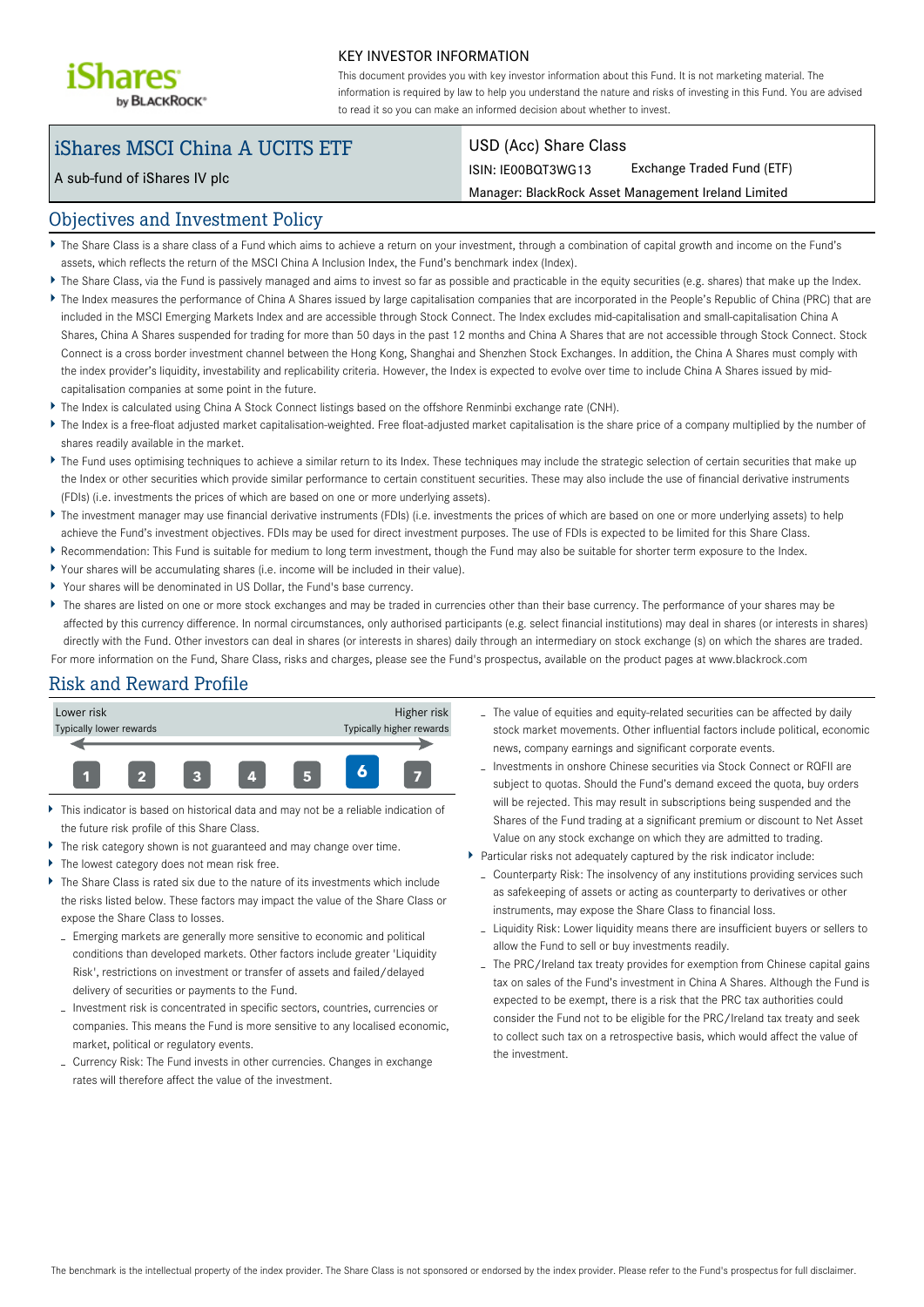

#### KEY INVESTOR INFORMATION

This document provides you with key investor information about this Fund. It is not marketing material. The information is required by law to help you understand the nature and risks of investing in this Fund. You are advised to read it so you can make an informed decision about whether to invest.

# iShares MSCI China A UCITS ETF

A sub-fund of iShares IV plc

#### USD (Acc) Share Class

ISIN: IE00BQT3WG13 Exchange Traded Fund (ETF)

Manager: BlackRock Asset Management Ireland Limited

### Objectives and Investment Policy

- The Share Class is a share class of a Fund which aims to achieve a return on your investment, through a combination of capital growth and income on the Fund's assets, which reflects the return of the MSCI China A Inclusion Index, the Fund's benchmark index (Index).
- ▶ The Share Class, via the Fund is passively managed and aims to invest so far as possible and practicable in the equity securities (e.g. shares) that make up the Index.
- The Index measures the performance of China A Shares issued by large capitalisation companies that are incorporated in the People's Republic of China (PRC) that are included in the MSCI Emerging Markets Index and are accessible through Stock Connect. The Index excludes mid-capitalisation and small-capitalisation China A Shares, China A Shares suspended for trading for more than 50 days in the past 12 months and China A Shares that are not accessible through Stock Connect. Stock Connect is a cross border investment channel between the Hong Kong, Shanghai and Shenzhen Stock Exchanges. In addition, the China A Shares must comply with the index provider's liquidity, investability and replicability criteria. However, the Index is expected to evolve over time to include China A Shares issued by midcapitalisation companies at some point in the future.
- ▶ The Index is calculated using China A Stock Connect listings based on the offshore Renminbi exchange rate (CNH).
- The Index is a free-float adjusted market capitalisation-weighted. Free float-adjusted market capitalisation is the share price of a company multiplied by the number of shares readily available in the market.
- The Fund uses optimising techniques to achieve a similar return to its Index. These techniques may include the strategic selection of certain securities that make up the Index or other securities which provide similar performance to certain constituent securities. These may also include the use of financial derivative instruments (FDIs) (i.e. investments the prices of which are based on one or more underlying assets).
- ▶ The investment manager may use financial derivative instruments (FDIs) (i.e. investments the prices of which are based on one or more underlying assets) to help achieve the Fund's investment objectives. FDIs may be used for direct investment purposes. The use of FDIs is expected to be limited for this Share Class.
- Recommendation: This Fund is suitable for medium to long term investment, though the Fund may also be suitable for shorter term exposure to the Index.
- Your shares will be accumulating shares (i.e. income will be included in their value).
- Your shares will be denominated in US Dollar, the Fund's base currency.
- ▶ The shares are listed on one or more stock exchanges and may be traded in currencies other than their base currency. The performance of your shares may be affected by this currency difference. In normal circumstances, only authorised participants (e.g. select financial institutions) may deal in shares (or interests in shares) directly with the Fund. Other investors can deal in shares (or interests in shares) daily through an intermediary on stock exchange (s) on which the shares are traded. For more information on the Fund, Share Class, risks and charges, please see the Fund's prospectus, available on the product pages at www.blackrock.com

# Risk and Reward Profile



- This indicator is based on historical data and may not be a reliable indication of the future risk profile of this Share Class.
- The risk category shown is not guaranteed and may change over time.
- The lowest category does not mean risk free.
- The Share Class is rated six due to the nature of its investments which include the risks listed below. These factors may impact the value of the Share Class or expose the Share Class to losses.
	- Emerging markets are generally more sensitive to economic and political conditions than developed markets. Other factors include greater 'Liquidity Risk', restrictions on investment or transfer of assets and failed/delayed delivery of securities or payments to the Fund.
	- Investment risk is concentrated in specific sectors, countries, currencies or companies. This means the Fund is more sensitive to any localised economic, market, political or regulatory events.
	- Currency Risk: The Fund invests in other currencies. Changes in exchange rates will therefore affect the value of the investment.
- The value of equities and equity-related securities can be affected by daily stock market movements. Other influential factors include political, economic news, company earnings and significant corporate events.
- Investments in onshore Chinese securities via Stock Connect or RQFII are subject to quotas. Should the Fund's demand exceed the quota, buy orders will be rejected. This may result in subscriptions being suspended and the Shares of the Fund trading at a significant premium or discount to Net Asset Value on any stock exchange on which they are admitted to trading.
- Particular risks not adequately captured by the risk indicator include:
	- Counterparty Risk: The insolvency of any institutions providing services such as safekeeping of assets or acting as counterparty to derivatives or other instruments, may expose the Share Class to financial loss.
	- Liquidity Risk: Lower liquidity means there are insufficient buyers or sellers to allow the Fund to sell or buy investments readily.
	- The PRC/Ireland tax treaty provides for exemption from Chinese capital gains tax on sales of the Fund's investment in China A Shares. Although the Fund is expected to be exempt, there is a risk that the PRC tax authorities could consider the Fund not to be eligible for the PRC/Ireland tax treaty and seek to collect such tax on a retrospective basis, which would affect the value of the investment.